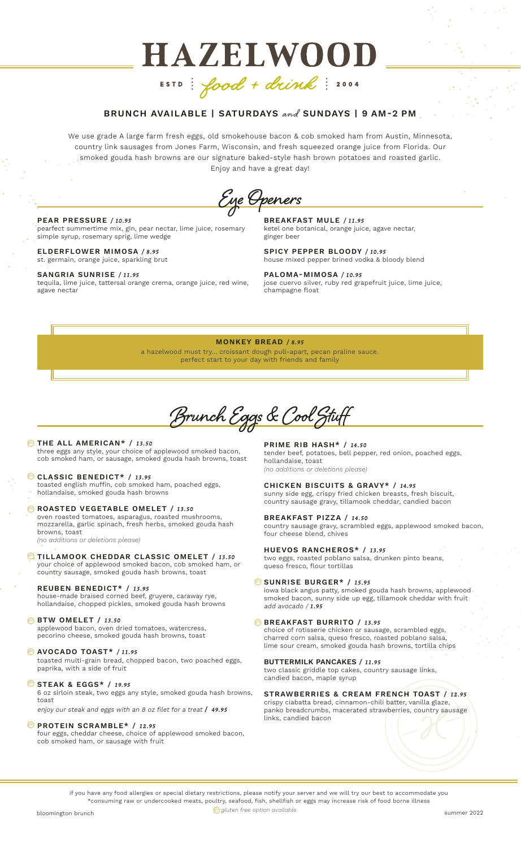# **HAZELWOOD** ESTD: food + drink: 2004

# BRUNCH AVAILABLE | SATURDAYS and SUNDAYS | 9 AM-2 PM

We use grade A large farm fresh eggs, old smokehouse bacon & cob smoked ham from Austin, Minnesota, country link sausages from Jones Farm, Wisconsin, and fresh squeezed orange juice from Florida. Our smoked gouda hash browns are our signature baked-style hash brown potatoes and roasted garlic. Enjoy and have a great day!

**Eye Openers**

#### PEAR PRESSURE */ 10.95*

pearfect summertime mix, gin, pear nectar, lime juice, rosemary simple syrup, rosemary sprig, lime wedge

ELDERFLOWER MIMOSA */ 8.95* st. germain, orange juice, sparkling brut

#### SANGRIA SUNRISE */ 11.95*

tequila, lime juice, tattersal orange crema, orange juice, red wine, agave nectar

BREAKFAST MULE */ 11.95* ketel one botanical, orange juice, agave nectar, ginger beer

SPICY PEPPER BLOODY */ 10.95* house mixed pepper brined vodka & bloody blend

PALOMA-MIMOSA */ 10.95* jose cuervo silver, ruby red grapefruit juice, lime juice, champagne float

#### MONKEY BREAD */ 8.95*

a hazelwood must try... croissant dough pull-apart, pecan praline sauce. perfect start to your day with friends and family

**Brunch Eggs & Cool Stuff**

#### **DE THE ALL AMERICAN\*** / 13.50 three eggs any style, your choice of applewood smoked bacon,

cob smoked ham, or sausage, smoked gouda hash browns, toast

#### CLASSIC BENEDICT\* / *13.95* gfo

toasted english muffin, cob smoked ham, poached eggs, hollandaise, smoked gouda hash browns

**B** ROASTED VEGETABLE OMELET / 13.50

oven roasted tomatoes, asparagus, roasted mushrooms, mozzarella, garlic spinach, fresh herbs, smoked gouda hash browns, toast

*(no additions or deletions please)*

**WTILLAMOOK CHEDDAR CLASSIC OMELET / 13.50** your choice of applewood smoked bacon, cob smoked ham, or country sausage, smoked gouda hash browns, toast

#### REUBEN BENEDICT\* / *13.95*

house-made braised corned beef, gruyere, caraway rye, hollandaise, chopped pickles, smoked gouda hash browns

#### BTW OMELET / *13.50* gfo

applewood bacon, oven dried tomatoes, watercress, pecorino cheese, smoked gouda hash browns, toast

#### AVOCADO TOAST\* */ 11.95* gfo

toasted multi-grain bread, chopped bacon, two poached eggs, paprika, with a side of fruit

**STEAK & EGGS\* / 19.95** 

6 oz sirloin steak, two eggs any style, smoked gouda hash browns, toast

enjoy our steak and eggs with an 8 oz filet for a treat / *49.95*

#### **DROTEIN SCRAMBLE\* / 12.95**

four eggs, cheddar cheese, choice of applewood smoked bacon, cob smoked ham, or sausage with fruit

PRIME RIB HASH\* / *14.50* tender beef, potatoes, bell pepper, red onion, poached eggs, hollandaise, toast *(no additions or deletions please)*

CHICKEN BISCUITS & GRAVY\* / *14.95* sunny side egg, crispy fried chicken breasts, fresh biscuit, country sausage gravy, tillamook cheddar, candied bacon

BREAKFAST PIZZA / *14.50*

country sausage gravy, scrambled eggs, applewood smoked bacon, four cheese blend, chives

HUEVOS RANCHEROS\* / *13.95* two eggs, roasted poblano salsa, drunken pinto beans, queso fresco, flour tortillas

#### SUNRISE BURGER\* / *15.95* gfo

iowa black angus patty, smoked gouda hash browns, applewood smoked bacon, sunny side up egg, tillamook cheddar with fruit add avocado / *1.95*

#### **BREAKFAST BURRITO / 13.95**

choice of rotisserie chicken or sausage, scrambled eggs, charred corn salsa, queso fresco, roasted poblano salsa, lime sour cream, smoked gouda hash browns, tortilla chips

#### BUTTERMILK PANCAKES / *11.95*

two classic griddle top cakes, country sausage links, candied bacon, maple syrup

# STRAWBERRIES & CREAM FRENCH TOAST / *12.95*

crispy ciabatta bread, cinnamon-chili batter, vanilla glaze, panko breadcrumbs, macerated strawberries, country sausage links, candied bacon

if you have any food allergies or special dietary restrictions, please notify your server and we will try our best to accommodate you \*consuming raw or undercooked meats, poultry, seafood, fish, shellfish or eggs may increase risk of food borne illness